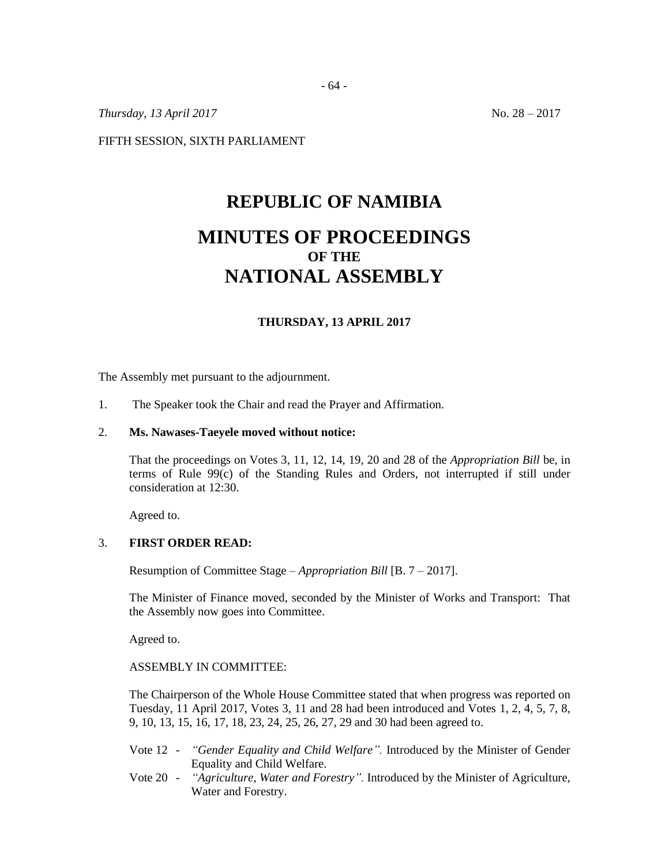*Thursday, 13 April 2017* No. 28 – 2017

FIFTH SESSION, SIXTH PARLIAMENT

# **REPUBLIC OF NAMIBIA MINUTES OF PROCEEDINGS OF THE**

## **NATIONAL ASSEMBLY**

## **THURSDAY, 13 APRIL 2017**

The Assembly met pursuant to the adjournment.

1. The Speaker took the Chair and read the Prayer and Affirmation.

#### 2. **Ms. Nawases-Taeyele moved without notice:**

That the proceedings on Votes 3, 11, 12, 14, 19, 20 and 28 of the *Appropriation Bill* be, in terms of Rule 99(c) of the Standing Rules and Orders, not interrupted if still under consideration at 12:30.

Agreed to.

### 3. **FIRST ORDER READ:**

Resumption of Committee Stage – *Appropriation Bill* [B. 7 – 2017].

The Minister of Finance moved, seconded by the Minister of Works and Transport: That the Assembly now goes into Committee.

Agreed to.

### ASSEMBLY IN COMMITTEE:

The Chairperson of the Whole House Committee stated that when progress was reported on Tuesday, 11 April 2017, Votes 3, 11 and 28 had been introduced and Votes 1, 2, 4, 5, 7, 8, 9, 10, 13, 15, 16, 17, 18, 23, 24, 25, 26, 27, 29 and 30 had been agreed to.

- Vote 12 *"Gender Equality and Child Welfare".* Introduced by the Minister of Gender Equality and Child Welfare.
- Vote 20 *"Agriculture, Water and Forestry".* Introduced by the Minister of Agriculture, Water and Forestry.